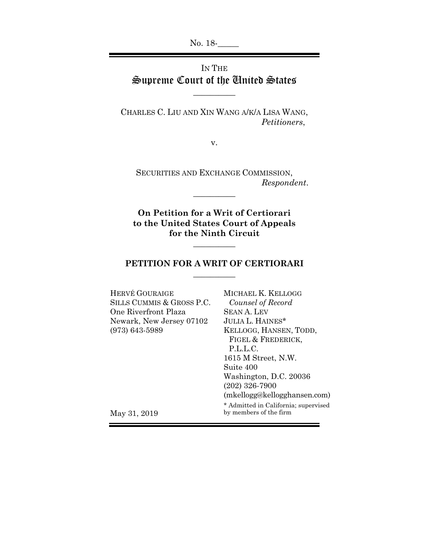No. 18-

# IN THE Supreme Court of the United States

 $\overline{\phantom{a}}$ 

CHARLES C. LIU AND XIN WANG A/K/A LISA WANG, *Petitioners*,

v.

SECURITIES AND EXCHANGE COMMISSION, *Respondent*.

**On Petition for a Writ of Certiorari to the United States Court of Appeals for the Ninth Circuit**

 $\overline{\phantom{a}}$ 

## **PETITION FOR A WRIT OF CERTIORARI**   $\overline{\phantom{a}}$

 $\overline{\phantom{a}}$ 

| MICHAEL K. KELLOGG                                             |
|----------------------------------------------------------------|
| Counsel of Record                                              |
| <b>SEAN A. LEV</b>                                             |
| <b>JULIA L. HAINES*</b>                                        |
| KELLOGG, HANSEN, TODD,                                         |
| FIGEL & FREDERICK,                                             |
| P.L.L.C.                                                       |
| 1615 M Street, N.W.                                            |
| Suite 400                                                      |
| Washington, D.C. 20036                                         |
| $(202)$ 326-7900                                               |
| $(m\text{kellogg@kellogghansen.com})$                          |
| * Admitted in California; supervised<br>by members of the firm |
|                                                                |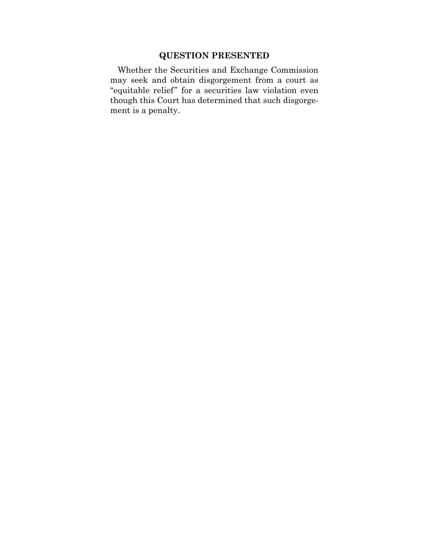# **QUESTION PRESENTED**

Whether the Securities and Exchange Commission may seek and obtain disgorgement from a court as "equitable relief" for a securities law violation even though this Court has determined that such disgorgement is a penalty.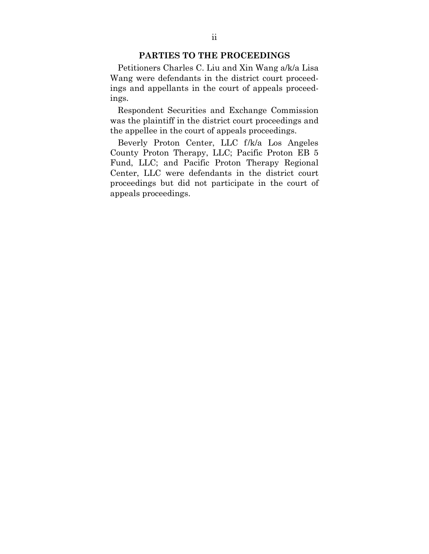## **PARTIES TO THE PROCEEDINGS**

Petitioners Charles C. Liu and Xin Wang a/k/a Lisa Wang were defendants in the district court proceedings and appellants in the court of appeals proceedings.

Respondent Securities and Exchange Commission was the plaintiff in the district court proceedings and the appellee in the court of appeals proceedings.

Beverly Proton Center, LLC f/k/a Los Angeles County Proton Therapy, LLC; Pacific Proton EB 5 Fund, LLC; and Pacific Proton Therapy Regional Center, LLC were defendants in the district court proceedings but did not participate in the court of appeals proceedings.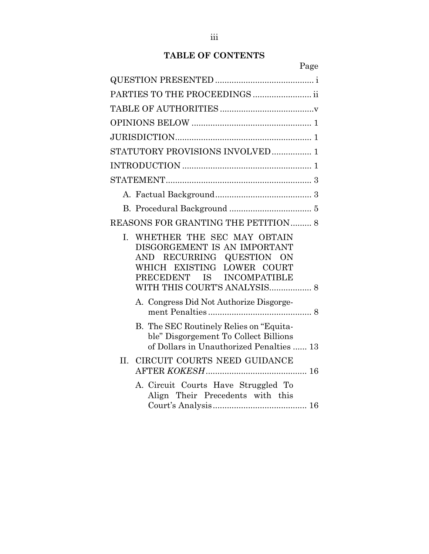# **TABLE OF CONTENTS**

| 637 A<br>. .<br>. . |  |
|---------------------|--|
|                     |  |

| PARTIES TO THE PROCEEDINGS                                                                                                                                                               |
|------------------------------------------------------------------------------------------------------------------------------------------------------------------------------------------|
|                                                                                                                                                                                          |
|                                                                                                                                                                                          |
|                                                                                                                                                                                          |
| STATUTORY PROVISIONS INVOLVED 1                                                                                                                                                          |
|                                                                                                                                                                                          |
|                                                                                                                                                                                          |
|                                                                                                                                                                                          |
|                                                                                                                                                                                          |
| <b>REASONS FOR GRANTING THE PETITION 8</b>                                                                                                                                               |
| I. WHETHER THE SEC MAY OBTAIN<br>DISGORGEMENT IS AN IMPORTANT<br>AND RECURRING QUESTION ON<br>EXISTING LOWER COURT<br>WHICH<br>PRECEDENT IS INCOMPATIBLE<br>WITH THIS COURT'S ANALYSIS 8 |
| A. Congress Did Not Authorize Disgorge-                                                                                                                                                  |
| B. The SEC Routinely Relies on "Equita-<br>ble" Disgorgement To Collect Billions<br>of Dollars in Unauthorized Penalties  13                                                             |
| II. CIRCUIT COURTS NEED GUIDANCE                                                                                                                                                         |
| A. Circuit Courts Have Struggled To<br>Align Their Precedents with this                                                                                                                  |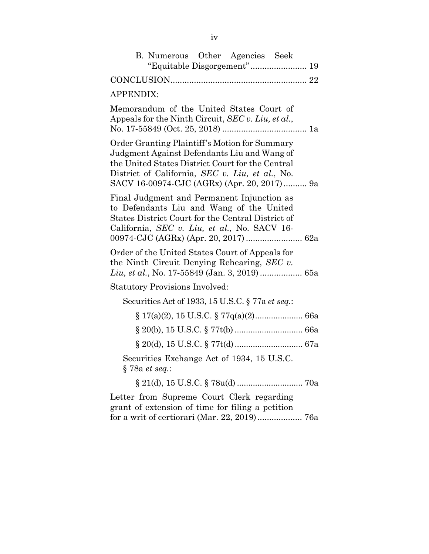| B. Numerous Other Agencies Seek<br>"Equitable Disgorgement" 19                                                                                                                                                                                     |
|----------------------------------------------------------------------------------------------------------------------------------------------------------------------------------------------------------------------------------------------------|
|                                                                                                                                                                                                                                                    |
| <b>APPENDIX:</b>                                                                                                                                                                                                                                   |
| Memorandum of the United States Court of<br>Appeals for the Ninth Circuit, SEC v. Liu, et al.,                                                                                                                                                     |
| Order Granting Plaintiff's Motion for Summary<br>Judgment Against Defendants Liu and Wang of<br>the United States District Court for the Central<br>District of California, SEC v. Liu, et al., No.<br>SACV 16-00974-CJC (AGRx) (Apr. 20, 2017) 9a |
| Final Judgment and Permanent Injunction as<br>to Defendants Liu and Wang of the United<br>States District Court for the Central District of<br>California, SEC v. Liu, et al., No. SACV 16-                                                        |
| Order of the United States Court of Appeals for<br>the Ninth Circuit Denying Rehearing, $SEC \, v.$<br>Liu, et al., No. 17-55849 (Jan. 3, 2019)  65a                                                                                               |
| <b>Statutory Provisions Involved:</b>                                                                                                                                                                                                              |
| Securities Act of 1933, 15 U.S.C. § 77a et seq.:                                                                                                                                                                                                   |
|                                                                                                                                                                                                                                                    |
|                                                                                                                                                                                                                                                    |
|                                                                                                                                                                                                                                                    |
| Securities Exchange Act of 1934, 15 U.S.C.<br>§ 78a et seq.:                                                                                                                                                                                       |
|                                                                                                                                                                                                                                                    |
| Letter from Supreme Court Clerk regarding<br>grant of extension of time for filing a petition<br>for a writ of certiorari (Mar. 22, 2019) 76a                                                                                                      |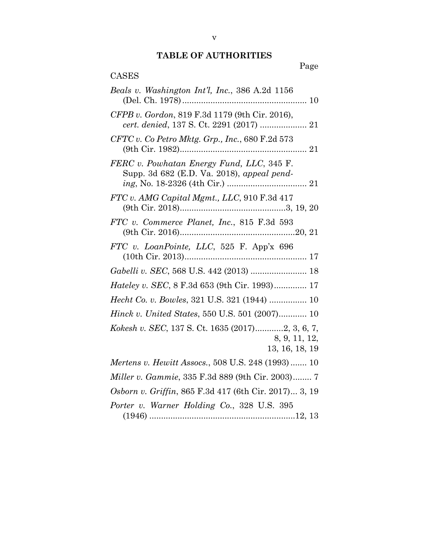# **TABLE OF AUTHORITIES**

| Page                                                                                    |
|-----------------------------------------------------------------------------------------|
| <b>CASES</b>                                                                            |
| Beals v. Washington Int'l, Inc., 386 A.2d 1156                                          |
| CFPB v. Gordon, 819 F.3d 1179 (9th Cir. 2016),                                          |
| $CFTC v.$ Co Petro Mktg. Grp., Inc., 680 F.2d 573                                       |
| FERC v. Powhatan Energy Fund, LLC, 345 F.<br>Supp. 3d 682 (E.D. Va. 2018), appeal pend- |
| FTC v. AMG Capital Mgmt., LLC, 910 F.3d 417                                             |
| FTC v. Commerce Planet, Inc., 815 F.3d 593                                              |
| FTC v. LoanPointe, LLC, 525 F. App'x 696                                                |
| Gabelli v. SEC, 568 U.S. 442 (2013)  18                                                 |
| <i>Hateley v. SEC</i> , 8 F.3d 653 (9th Cir. 1993) 17                                   |
| Hecht Co. v. Bowles, 321 U.S. 321 (1944)  10                                            |
| <i>Hinck v. United States, 550 U.S. 501 (2007) 10</i>                                   |
| Kokesh v. SEC, 137 S. Ct. 1635 (2017)2, 3, 6, 7,<br>8, 9, 11, 12,<br>13, 16, 18, 19     |
| Mertens v. Hewitt Assocs., 508 U.S. 248 (1993) 10                                       |
| Miller v. Gammie, 335 F.3d 889 (9th Cir. 2003) 7                                        |
| Osborn v. Griffin, 865 F.3d 417 (6th Cir. 2017) 3, 19                                   |
| Porter v. Warner Holding Co., 328 U.S. 395                                              |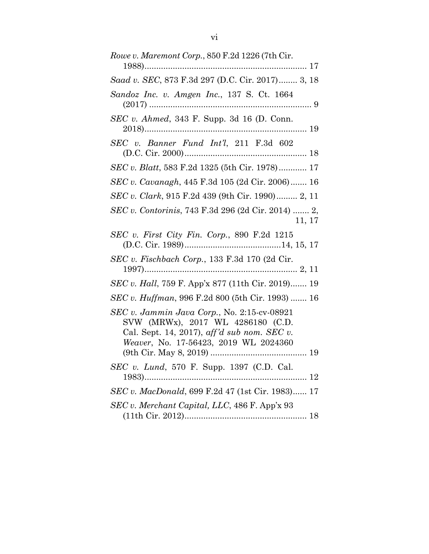| Rowe v. Maremont Corp., 850 F.2d 1226 (7th Cir.                                                                                                                          |
|--------------------------------------------------------------------------------------------------------------------------------------------------------------------------|
| Saad v. SEC, 873 F.3d 297 (D.C. Cir. 2017) 3, 18                                                                                                                         |
| Sandoz Inc. v. Amgen Inc., 137 S. Ct. 1664                                                                                                                               |
| SEC v. Ahmed, 343 F. Supp. 3d 16 (D. Conn.                                                                                                                               |
| SEC v. Banner Fund Int'l, 211 F.3d 602                                                                                                                                   |
| SEC v. Blatt, 583 F.2d 1325 (5th Cir. 1978) 17                                                                                                                           |
| SEC v. Cavanagh, 445 F.3d 105 (2d Cir. 2006) 16                                                                                                                          |
| SEC v. Clark, 915 F.2d 439 (9th Cir. 1990) 2, 11                                                                                                                         |
| SEC v. Contorinis, 743 F.3d 296 (2d Cir. 2014)  2,<br>11, 17                                                                                                             |
| SEC v. First City Fin. Corp., 890 F.2d 1215                                                                                                                              |
| $SEC v. Fischbach Corp., 133 F.3d 170 (2d Cir.$                                                                                                                          |
| SEC v. Hall, 759 F. App'x 877 (11th Cir. 2019) 19                                                                                                                        |
| <i>SEC v. Huffman</i> , 996 F.2d 800 (5th Cir. 1993)  16                                                                                                                 |
| SEC v. Jammin Java Corp., No. 2:15-cv-08921<br>SVW (MRWx), 2017 WL 4286180 (C.D.<br>Cal. Sept. 14, 2017), aff'd sub nom. SEC v.<br>Weaver, No. 17-56423, 2019 WL 2024360 |
| SEC v. Lund, 570 F. Supp. 1397 (C.D. Cal.<br>1983)<br>12                                                                                                                 |
| <i>SEC v. MacDonald, 699 F.2d 47 (1st Cir. 1983) 17</i>                                                                                                                  |
| SEC v. Merchant Capital, LLC, 486 F. App'x 93                                                                                                                            |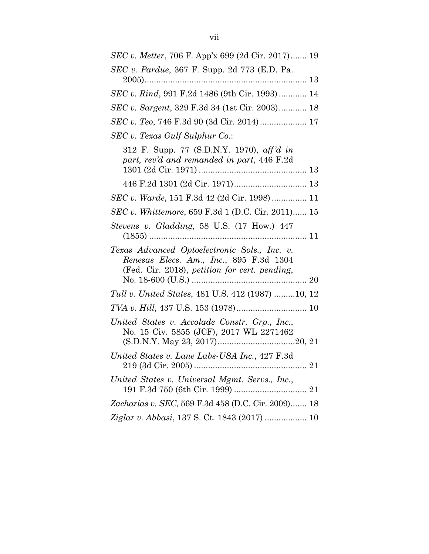| SEC v. Metter, 706 F. App'x 699 (2d Cir. 2017) 19                                                                                        |
|------------------------------------------------------------------------------------------------------------------------------------------|
| <i>SEC v. Pardue, 367 F. Supp. 2d 773 (E.D. Pa.</i>                                                                                      |
|                                                                                                                                          |
| SEC v. Rind, 991 F.2d 1486 (9th Cir. 1993)  14                                                                                           |
| SEC v. Sargent, 329 F.3d 34 (1st Cir. 2003) 18                                                                                           |
| SEC v. Teo, 746 F.3d 90 (3d Cir. 2014) 17                                                                                                |
| SEC v. Texas Gulf Sulphur Co.:                                                                                                           |
| 312 F. Supp. 77 (S.D.N.Y. 1970), aff'd in<br>part, rev'd and remanded in part, 446 F.2d                                                  |
|                                                                                                                                          |
| SEC v. Warde, 151 F.3d 42 (2d Cir. 1998) 11                                                                                              |
| SEC v. Whittemore, 659 F.3d 1 (D.C. Cir. 2011) 15                                                                                        |
| Stevens v. Gladding, 58 U.S. (17 How.) 447                                                                                               |
| Texas Advanced Optoelectronic Sols., Inc. v.<br>Renesas Elecs. Am., Inc., 895 F.3d 1304<br>(Fed. Cir. 2018), petition for cert. pending, |
| Tull v. United States, 481 U.S. 412 (1987) 10, 12                                                                                        |
|                                                                                                                                          |
| United States v. Accolade Constr. Grp., Inc.,<br>No. 15 Civ. 5855 (JCF), 2017 WL 2271462                                                 |
| United States v. Lane Labs-USA Inc., 427 F.3d                                                                                            |
| United States v. Universal Mgmt. Servs., Inc.,                                                                                           |
| Zacharias v. SEC, 569 F.3d 458 (D.C. Cir. 2009) 18                                                                                       |
| Ziglar v. Abbasi, 137 S. Ct. 1843 (2017)  10                                                                                             |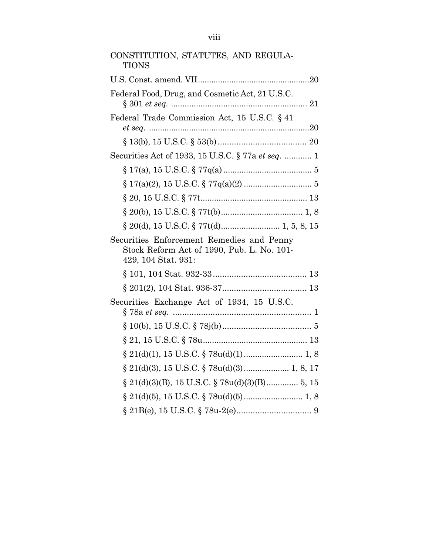| CONSTITUTION, STATUTES, AND REGULA-<br><b>TIONS</b>               |
|-------------------------------------------------------------------|
|                                                                   |
| Federal Food, Drug, and Cosmetic Act, 21 U.S.C.                   |
| Federal Trade Commission Act, 15 U.S.C. § 41                      |
|                                                                   |
| Securities Act of 1933, 15 U.S.C. § 77a et seq.  1                |
|                                                                   |
|                                                                   |
|                                                                   |
|                                                                   |
|                                                                   |
| Securities Enforcement Remedies and Penny                         |
| Stock Reform Act of 1990, Pub. L. No. 101-<br>429, 104 Stat. 931: |
|                                                                   |
|                                                                   |
| Securities Exchange Act of 1934, 15 U.S.C.                        |
|                                                                   |
|                                                                   |
|                                                                   |
|                                                                   |
|                                                                   |
|                                                                   |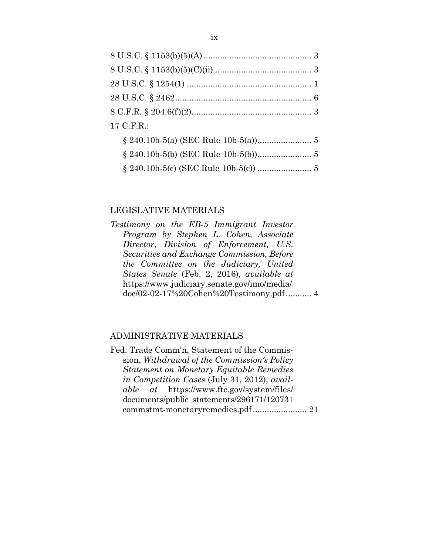| 17 C.F.R.: |  |
|------------|--|
|            |  |
|            |  |
|            |  |

### LEGISLATIVE MATERIALS

*Testimony on the EB-5 Immigrant Investor Program by Stephen L. Cohen, Associate Director, Division of Enforcement, U.S. Securities and Exchange Commission, Before the Committee on the Judiciary, United States Senate* (Feb. 2, 2016), *available at* https://www.judiciary.senate.gov/imo/media/ doc/02-02-17%20Cohen%20Testimony.pdf ........... 4

# ADMINISTRATIVE MATERIALS

Fed. Trade Comm'n, Statement of the Commission, *Withdrawal of the Commission's Policy Statement on Monetary Equitable Remedies in Competition Cases* (July 31, 2012), *available at* https://www.ftc.gov/system/files/ documents/public\_statements/296171/120731 commstmt-monetaryremedies.pdf ....................... 21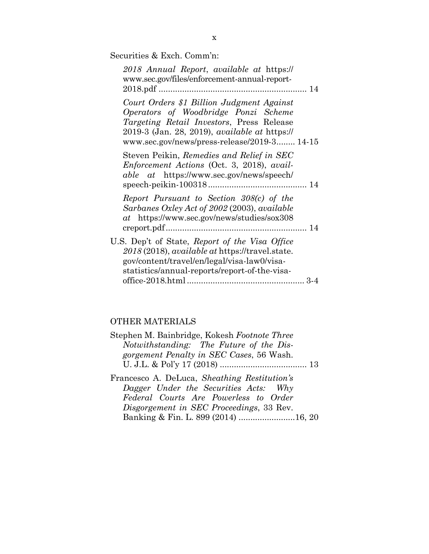Securities & Exch. Comm'n:

| 2018 Annual Report, available at https://<br>www.sec.gov/files/enforcement-annual-report-                                                                                                                                                    |       |
|----------------------------------------------------------------------------------------------------------------------------------------------------------------------------------------------------------------------------------------------|-------|
| Court Orders \$1 Billion Judgment Against<br>Operators of Woodbridge Ponzi Scheme<br><i>Targeting Retail Investors, Press Release</i><br>2019-3 (Jan. 28, 2019), <i>available at https://</i><br>www.sec.gov/news/press-release/2019-3 14-15 |       |
| Steven Peikin, Remedies and Relief in SEC<br><i>Enforcement Actions</i> (Oct. 3, 2018), avail-<br><i>able at</i> https://www.sec.gov/news/speech/                                                                                            |       |
| Report Pursuant to Section 308(c) of the<br>Sarbanes Oxley Act of 2002 (2003), available<br><i>at</i> https://www.sec.gov/news/studies/sox308                                                                                                |       |
| U.S. Dep't of State, Report of the Visa Office<br>2018 (2018), available at https://travel.state.<br>gov/content/travel/en/legal/visa-law0/visa-<br>statistics/annual-reports/report-of-the-visa-                                            | $3-4$ |

# OTHER MATERIALS

| Stephen M. Bainbridge, Kokesh Footnote Three |  |
|----------------------------------------------|--|
| Notwithstanding: The Future of the Dis-      |  |
| gorgement Penalty in SEC Cases, 56 Wash.     |  |
|                                              |  |
| Francesco A. DeLuca, Sheathing Restitution's |  |
| Dagger Under the Securities Acts: Why        |  |
| Federal Courts Are Powerless to Order        |  |
| Disgorgement in SEC Proceedings, 33 Rev.     |  |
| Banking & Fin. L. 899 (2014) 16, 20          |  |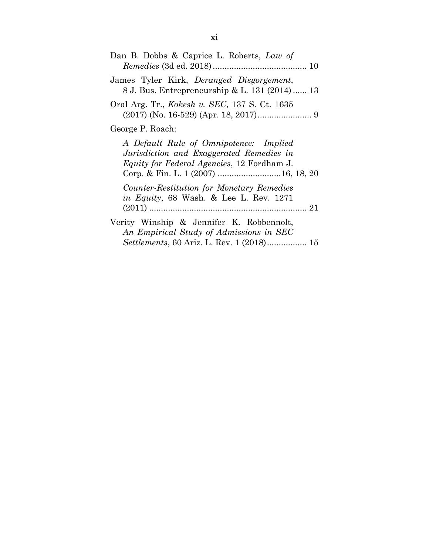| Dan B. Dobbs & Caprice L. Roberts, Law of                                                                                                                                       |
|---------------------------------------------------------------------------------------------------------------------------------------------------------------------------------|
| James Tyler Kirk, Deranged Disgorgement,<br>8 J. Bus. Entrepreneurship & L. 131 (2014)  13                                                                                      |
| Oral Arg. Tr., <i>Kokesh v. SEC</i> , 137 S. Ct. 1635                                                                                                                           |
| George P. Roach:                                                                                                                                                                |
| A Default Rule of Omnipotence: Implied<br>Jurisdiction and Exaggerated Remedies in<br><i>Equity for Federal Agencies</i> , 12 Fordham J.<br>Corp. & Fin. L. 1 (2007) 16, 18, 20 |
| Counter-Restitution for Monetary Remedies<br><i>in Equity</i> , 68 Wash. & Lee L. Rev. 1271                                                                                     |
| Verity Winship & Jennifer K. Robbennolt,<br>An Empirical Study of Admissions in SEC<br><i>Settlements</i> , 60 Ariz. L. Rev. 1 (2018) 15                                        |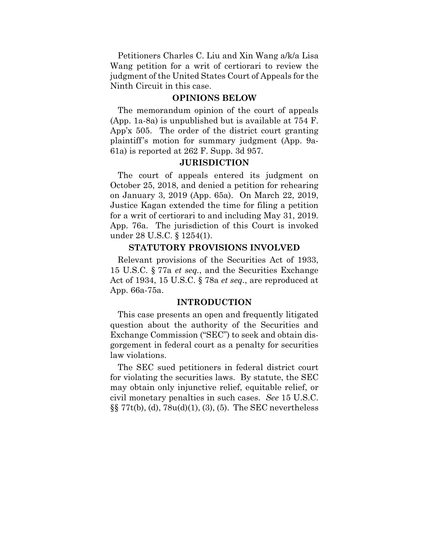Petitioners Charles C. Liu and Xin Wang a/k/a Lisa Wang petition for a writ of certiorari to review the judgment of the United States Court of Appeals for the Ninth Circuit in this case.

#### **OPINIONS BELOW**

The memorandum opinion of the court of appeals (App. 1a-8a) is unpublished but is available at 754 F. App'x 505. The order of the district court granting plaintiff's motion for summary judgment (App. 9a-61a) is reported at 262 F. Supp. 3d 957.

#### **JURISDICTION**

The court of appeals entered its judgment on October 25, 2018, and denied a petition for rehearing on January 3, 2019 (App. 65a). On March 22, 2019, Justice Kagan extended the time for filing a petition for a writ of certiorari to and including May 31, 2019. App. 76a. The jurisdiction of this Court is invoked under 28 U.S.C. § 1254(1).

### **STATUTORY PROVISIONS INVOLVED**

Relevant provisions of the Securities Act of 1933, 15 U.S.C. § 77a *et seq.*, and the Securities Exchange Act of 1934, 15 U.S.C. § 78a *et seq.*, are reproduced at App. 66a-75a.

#### **INTRODUCTION**

This case presents an open and frequently litigated question about the authority of the Securities and Exchange Commission ("SEC") to seek and obtain disgorgement in federal court as a penalty for securities law violations.

The SEC sued petitioners in federal district court for violating the securities laws. By statute, the SEC may obtain only injunctive relief, equitable relief, or civil monetary penalties in such cases. *See* 15 U.S.C. §§ 77t(b), (d), 78u(d)(1), (3), (5). The SEC nevertheless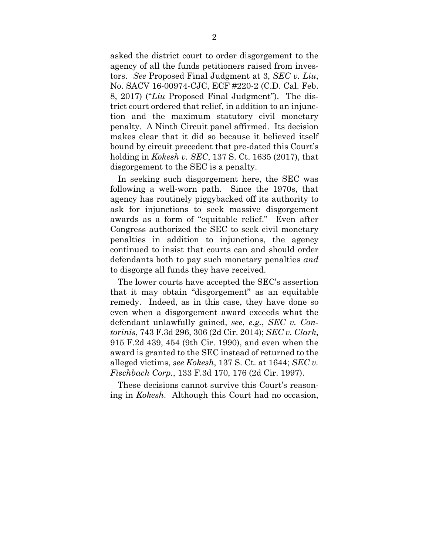asked the district court to order disgorgement to the agency of all the funds petitioners raised from investors. *See* Proposed Final Judgment at 3, *SEC v. Liu*, No. SACV 16-00974-CJC, ECF #220-2 (C.D. Cal. Feb. 8, 2017) ("*Liu* Proposed Final Judgment"). The district court ordered that relief, in addition to an injunction and the maximum statutory civil monetary penalty. A Ninth Circuit panel affirmed. Its decision makes clear that it did so because it believed itself bound by circuit precedent that pre-dated this Court's holding in *Kokesh v. SEC*, 137 S. Ct. 1635 (2017), that disgorgement to the SEC is a penalty.

In seeking such disgorgement here, the SEC was following a well-worn path. Since the 1970s, that agency has routinely piggybacked off its authority to ask for injunctions to seek massive disgorgement awards as a form of "equitable relief." Even after Congress authorized the SEC to seek civil monetary penalties in addition to injunctions, the agency continued to insist that courts can and should order defendants both to pay such monetary penalties *and*  to disgorge all funds they have received.

The lower courts have accepted the SEC's assertion that it may obtain "disgorgement" as an equitable remedy. Indeed, as in this case, they have done so even when a disgorgement award exceeds what the defendant unlawfully gained, *see*, *e.g.*, *SEC v. Contorinis*, 743 F.3d 296, 306 (2d Cir. 2014); *SEC v. Clark*, 915 F.2d 439, 454 (9th Cir. 1990), and even when the award is granted to the SEC instead of returned to the alleged victims, *see Kokesh*, 137 S. Ct. at 1644; *SEC v. Fischbach Corp.*, 133 F.3d 170, 176 (2d Cir. 1997).

These decisions cannot survive this Court's reasoning in *Kokesh*. Although this Court had no occasion,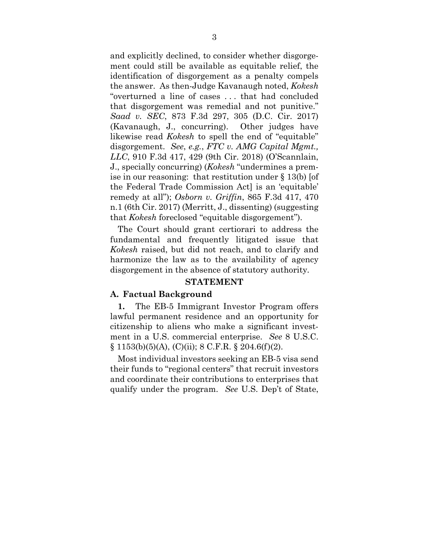and explicitly declined, to consider whether disgorgement could still be available as equitable relief, the identification of disgorgement as a penalty compels the answer. As then-Judge Kavanaugh noted, *Kokesh*  "overturned a line of cases . . . that had concluded that disgorgement was remedial and not punitive." *Saad v. SEC*, 873 F.3d 297, 305 (D.C. Cir. 2017) (Kavanaugh, J., concurring). Other judges have likewise read *Kokesh* to spell the end of "equitable" disgorgement. *See*, *e.g.*, *FTC v. AMG Capital Mgmt., LLC*, 910 F.3d 417, 429 (9th Cir. 2018) (O'Scannlain, J., specially concurring) (*Kokesh* "undermines a premise in our reasoning: that restitution under § 13(b) [of the Federal Trade Commission Act] is an 'equitable' remedy at all"); *Osborn v. Griffin*, 865 F.3d 417, 470 n.1 (6th Cir. 2017) (Merritt, J., dissenting) (suggesting that *Kokesh* foreclosed "equitable disgorgement").

The Court should grant certiorari to address the fundamental and frequently litigated issue that *Kokesh* raised, but did not reach, and to clarify and harmonize the law as to the availability of agency disgorgement in the absence of statutory authority*.* 

### **STATEMENT**

#### **A. Factual Background**

**1.** The EB-5 Immigrant Investor Program offers lawful permanent residence and an opportunity for citizenship to aliens who make a significant investment in a U.S. commercial enterprise. *See* 8 U.S.C.  $\S$  1153(b)(5)(A), (C)(ii); 8 C.F.R.  $\S$  204.6(f)(2).

Most individual investors seeking an EB-5 visa send their funds to "regional centers" that recruit investors and coordinate their contributions to enterprises that qualify under the program. *See* U.S. Dep't of State,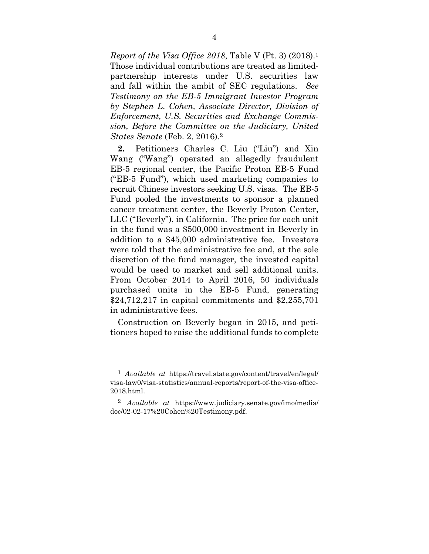*Report of the Visa Office 2018*, Table V (Pt. 3) (2018).1 Those individual contributions are treated as limitedpartnership interests under U.S. securities law and fall within the ambit of SEC regulations. *See Testimony on the EB-5 Immigrant Investor Program by Stephen L. Cohen, Associate Director, Division of Enforcement, U.S. Securities and Exchange Commission, Before the Committee on the Judiciary, United States Senate* (Feb. 2, 2016).2

**2.** Petitioners Charles C. Liu ("Liu") and Xin Wang ("Wang") operated an allegedly fraudulent EB-5 regional center, the Pacific Proton EB-5 Fund ("EB-5 Fund"), which used marketing companies to recruit Chinese investors seeking U.S. visas. The EB-5 Fund pooled the investments to sponsor a planned cancer treatment center, the Beverly Proton Center, LLC ("Beverly"), in California. The price for each unit in the fund was a \$500,000 investment in Beverly in addition to a \$45,000 administrative fee. Investors were told that the administrative fee and, at the sole discretion of the fund manager, the invested capital would be used to market and sell additional units. From October 2014 to April 2016, 50 individuals purchased units in the EB-5 Fund, generating \$24,712,217 in capital commitments and \$2,255,701 in administrative fees.

Construction on Beverly began in 2015, and petitioners hoped to raise the additional funds to complete

<sup>1</sup> *Available at* https://travel.state.gov/content/travel/en/legal/ visa-law0/visa-statistics/annual-reports/report-of-the-visa-office-2018.html.

<sup>2</sup> *Available at* https://www.judiciary.senate.gov/imo/media/ doc/02-02-17%20Cohen%20Testimony.pdf.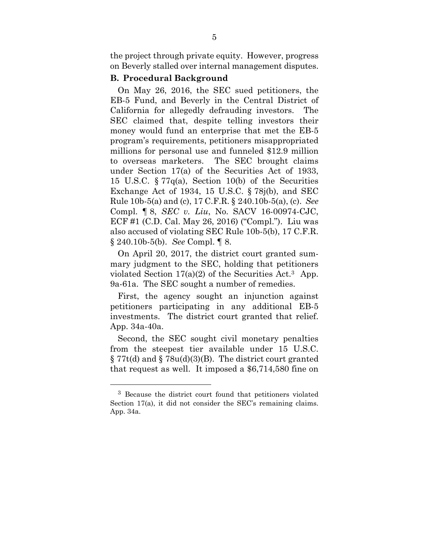the project through private equity. However, progress on Beverly stalled over internal management disputes.

#### **B. Procedural Background**

On May 26, 2016, the SEC sued petitioners, the EB-5 Fund, and Beverly in the Central District of California for allegedly defrauding investors. The SEC claimed that, despite telling investors their money would fund an enterprise that met the EB-5 program's requirements, petitioners misappropriated millions for personal use and funneled \$12.9 million to overseas marketers. The SEC brought claims under Section 17(a) of the Securities Act of 1933, 15 U.S.C. § 77q(a), Section 10(b) of the Securities Exchange Act of 1934, 15 U.S.C. § 78j(b), and SEC Rule 10b-5(a) and (c), 17 C.F.R. § 240.10b-5(a), (c). *See*  Compl. ¶ 8, *SEC v. Liu*, No. SACV 16-00974-CJC, ECF #1 (C.D. Cal. May 26, 2016) ("Compl."). Liu was also accused of violating SEC Rule 10b-5(b), 17 C.F.R. § 240.10b-5(b). *See* Compl. ¶ 8.

On April 20, 2017, the district court granted summary judgment to the SEC, holding that petitioners violated Section  $17(a)(2)$  of the Securities Act.<sup>3</sup> App. 9a-61a. The SEC sought a number of remedies.

First, the agency sought an injunction against petitioners participating in any additional EB-5 investments. The district court granted that relief. App. 34a-40a.

Second, the SEC sought civil monetary penalties from the steepest tier available under 15 U.S.C.  $\S 77t(d)$  and  $\S 78u(d)(3)(B)$ . The district court granted that request as well. It imposed a \$6,714,580 fine on

<sup>3</sup> Because the district court found that petitioners violated Section 17(a), it did not consider the SEC's remaining claims. App. 34a.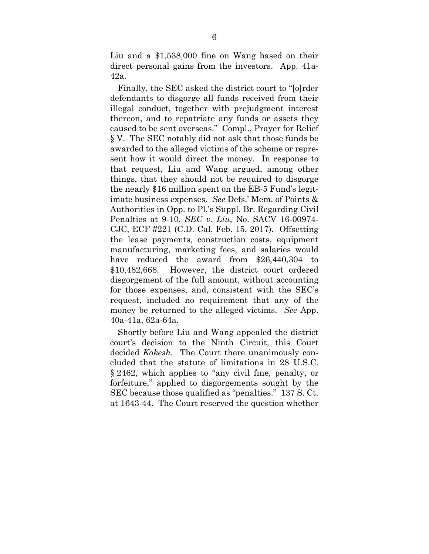Liu and a \$1,538,000 fine on Wang based on their direct personal gains from the investors. App. 41a-42a.

Finally, the SEC asked the district court to "[o]rder defendants to disgorge all funds received from their illegal conduct, together with prejudgment interest thereon, and to repatriate any funds or assets they caused to be sent overseas." Compl., Prayer for Relief § V. The SEC notably did not ask that those funds be awarded to the alleged victims of the scheme or represent how it would direct the money. In response to that request, Liu and Wang argued, among other things, that they should not be required to disgorge the nearly \$16 million spent on the EB-5 Fund's legitimate business expenses. *See* Defs.' Mem. of Points & Authorities in Opp. to Pl.'s Suppl. Br. Regarding Civil Penalties at 9-10, *SEC v. Liu*, No. SACV 16-00974- CJC, ECF #221 (C.D. Cal. Feb. 15, 2017). Offsetting the lease payments, construction costs, equipment manufacturing, marketing fees, and salaries would have reduced the award from \$26,440,304 to \$10,482,668. However, the district court ordered disgorgement of the full amount, without accounting for those expenses, and, consistent with the SEC's request, included no requirement that any of the money be returned to the alleged victims. *See* App. 40a-41a, 62a-64a.

Shortly before Liu and Wang appealed the district court's decision to the Ninth Circuit, this Court decided *Kokesh*. The Court there unanimously concluded that the statute of limitations in 28 U.S.C. § 2462, which applies to "any civil fine, penalty, or forfeiture," applied to disgorgements sought by the SEC because those qualified as "penalties." 137 S. Ct. at 1643-44. The Court reserved the question whether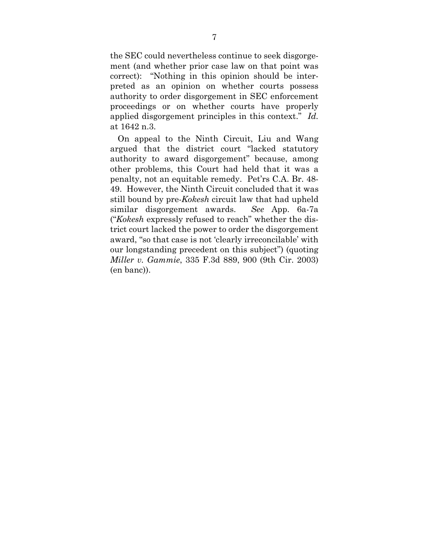the SEC could nevertheless continue to seek disgorgement (and whether prior case law on that point was correct): "Nothing in this opinion should be interpreted as an opinion on whether courts possess authority to order disgorgement in SEC enforcement proceedings or on whether courts have properly applied disgorgement principles in this context." *Id.*  at 1642 n.3.

On appeal to the Ninth Circuit, Liu and Wang argued that the district court "lacked statutory authority to award disgorgement" because, among other problems, this Court had held that it was a penalty, not an equitable remedy. Pet'rs C.A. Br. 48- 49. However, the Ninth Circuit concluded that it was still bound by pre-*Kokesh* circuit law that had upheld similar disgorgement awards. *See* App. 6a-7a ("*Kokesh* expressly refused to reach" whether the district court lacked the power to order the disgorgement award, "so that case is not 'clearly irreconcilable' with our longstanding precedent on this subject") (quoting *Miller v. Gammie*, 335 F.3d 889, 900 (9th Cir. 2003) (en banc)).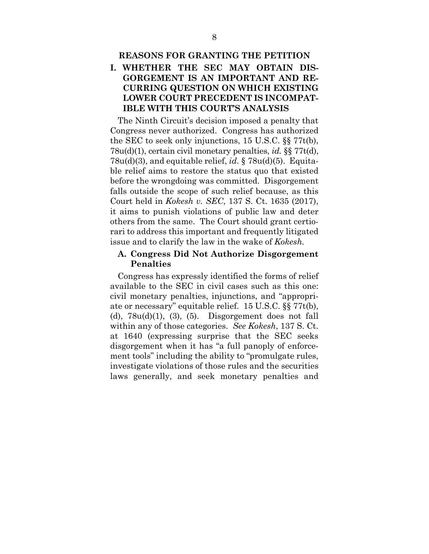# **I. WHETHER THE SEC MAY OBTAIN DIS-GORGEMENT IS AN IMPORTANT AND RE-CURRING QUESTION ON WHICH EXISTING LOWER COURT PRECEDENT IS INCOMPAT-IBLE WITH THIS COURT'S ANALYSIS**

The Ninth Circuit's decision imposed a penalty that Congress never authorized. Congress has authorized the SEC to seek only injunctions, 15 U.S.C. §§ 77t(b), 78u(d)(1), certain civil monetary penalties, *id.* §§ 77t(d), 78u(d)(3), and equitable relief, *id.* § 78u(d)(5). Equitable relief aims to restore the status quo that existed before the wrongdoing was committed. Disgorgement falls outside the scope of such relief because, as this Court held in *Kokesh v. SEC*, 137 S. Ct. 1635 (2017), it aims to punish violations of public law and deter others from the same. The Court should grant certiorari to address this important and frequently litigated issue and to clarify the law in the wake of *Kokesh.*

# **A. Congress Did Not Authorize Disgorgement Penalties**

Congress has expressly identified the forms of relief available to the SEC in civil cases such as this one: civil monetary penalties, injunctions, and "appropriate or necessary" equitable relief. 15 U.S.C. §§ 77t(b), (d),  $78u(d)(1)$ , (3), (5). Disgorgement does not fall within any of those categories. *See Kokesh*, 137 S. Ct. at 1640 (expressing surprise that the SEC seeks disgorgement when it has "a full panoply of enforcement tools" including the ability to "promulgate rules, investigate violations of those rules and the securities laws generally, and seek monetary penalties and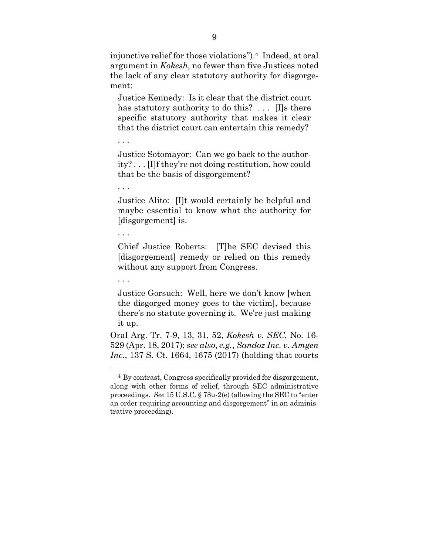injunctive relief for those violations").4 Indeed, at oral argument in *Kokesh*, no fewer than five Justices noted the lack of any clear statutory authority for disgorgement:

Justice Kennedy: Is it clear that the district court has statutory authority to do this? ... Ills there specific statutory authority that makes it clear that the district court can entertain this remedy?

. . .

Justice Sotomayor: Can we go back to the authority? . . . [I]f they're not doing restitution, how could that be the basis of disgorgement?

. . .

Justice Alito: [I]t would certainly be helpful and maybe essential to know what the authority for [disgorgement] is.

. . .

Chief Justice Roberts: [T]he SEC devised this [disgorgement] remedy or relied on this remedy without any support from Congress.

. . .

1

Justice Gorsuch: Well, here we don't know [when the disgorged money goes to the victim], because there's no statute governing it. We're just making it up.

Oral Arg. Tr. 7-9, 13, 31, 52, *Kokesh v. SEC*, No. 16- 529 (Apr. 18, 2017); *see also*, *e.g.*, *Sandoz Inc. v. Amgen Inc.*, 137 S. Ct. 1664, 1675 (2017) (holding that courts

<sup>4</sup> By contrast, Congress specifically provided for disgorgement, along with other forms of relief, through SEC administrative proceedings. *See* 15 U.S.C. § 78u-2(e) (allowing the SEC to "enter an order requiring accounting and disgorgement" in an administrative proceeding).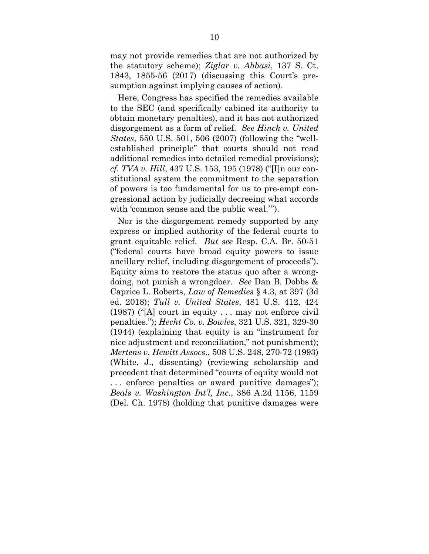may not provide remedies that are not authorized by the statutory scheme); *Ziglar v. Abbasi*, 137 S. Ct. 1843, 1855-56 (2017) (discussing this Court's presumption against implying causes of action).

Here, Congress has specified the remedies available to the SEC (and specifically cabined its authority to obtain monetary penalties), and it has not authorized disgorgement as a form of relief. *See Hinck v. United States*, 550 U.S. 501, 506 (2007) (following the "wellestablished principle" that courts should not read additional remedies into detailed remedial provisions); *cf. TVA v. Hill*, 437 U.S. 153, 195 (1978) ("[I]n our constitutional system the commitment to the separation of powers is too fundamental for us to pre-empt congressional action by judicially decreeing what accords with 'common sense and the public weal.'".

Nor is the disgorgement remedy supported by any express or implied authority of the federal courts to grant equitable relief. *But see* Resp. C.A. Br. 50-51 ("federal courts have broad equity powers to issue ancillary relief, including disgorgement of proceeds"). Equity aims to restore the status quo after a wrongdoing, not punish a wrongdoer. *See* Dan B. Dobbs & Caprice L. Roberts, *Law of Remedies* § 4.3, at 397 (3d ed. 2018); *Tull v. United States*, 481 U.S. 412, 424  $(1987)$  ("[A] court in equity ... may not enforce civil penalties."); *Hecht Co. v. Bowles*, 321 U.S. 321, 329-30 (1944) (explaining that equity is an "instrument for nice adjustment and reconciliation," not punishment); *Mertens v. Hewitt Assocs.*, 508 U.S. 248, 270-72 (1993) (White, J., dissenting) (reviewing scholarship and precedent that determined "courts of equity would not . . . enforce penalties or award punitive damages"); *Beals v. Washington Int'l, Inc.*, 386 A.2d 1156, 1159 (Del. Ch. 1978) (holding that punitive damages were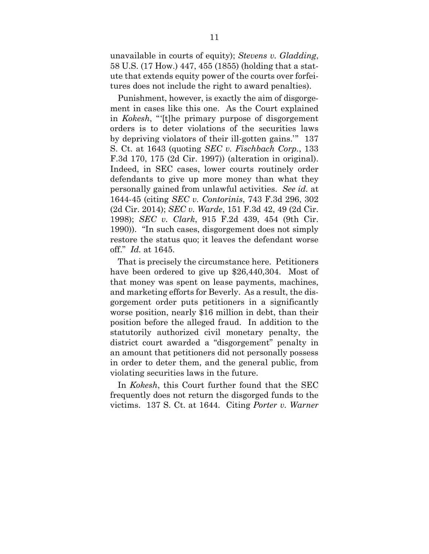unavailable in courts of equity); *Stevens v. Gladding*, 58 U.S. (17 How.) 447, 455 (1855) (holding that a statute that extends equity power of the courts over forfeitures does not include the right to award penalties).

Punishment, however, is exactly the aim of disgorgement in cases like this one. As the Court explained in *Kokesh*, "'[t]he primary purpose of disgorgement orders is to deter violations of the securities laws by depriving violators of their ill-gotten gains.'" 137 S. Ct. at 1643 (quoting *SEC v. Fischbach Corp.*, 133 F.3d 170, 175 (2d Cir. 1997)) (alteration in original). Indeed, in SEC cases, lower courts routinely order defendants to give up more money than what they personally gained from unlawful activities. *See id.* at 1644-45 (citing *SEC v. Contorinis*, 743 F.3d 296, 302 (2d Cir. 2014); *SEC v. Warde*, 151 F.3d 42, 49 (2d Cir. 1998); *SEC v. Clark*, 915 F.2d 439, 454 (9th Cir. 1990)). "In such cases, disgorgement does not simply restore the status quo; it leaves the defendant worse off." *Id.* at 1645.

That is precisely the circumstance here. Petitioners have been ordered to give up \$26,440,304. Most of that money was spent on lease payments, machines, and marketing efforts for Beverly. As a result, the disgorgement order puts petitioners in a significantly worse position, nearly \$16 million in debt, than their position before the alleged fraud. In addition to the statutorily authorized civil monetary penalty, the district court awarded a "disgorgement" penalty in an amount that petitioners did not personally possess in order to deter them, and the general public, from violating securities laws in the future.

In *Kokesh*, this Court further found that the SEC frequently does not return the disgorged funds to the victims. 137 S. Ct. at 1644. Citing *Porter v. Warner*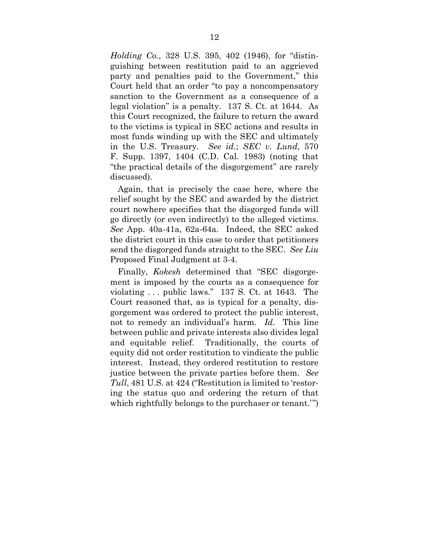*Holding Co.*, 328 U.S. 395, 402 (1946), for "distinguishing between restitution paid to an aggrieved party and penalties paid to the Government," this Court held that an order "to pay a noncompensatory sanction to the Government as a consequence of a legal violation" is a penalty. 137 S. Ct. at 1644. As this Court recognized, the failure to return the award to the victims is typical in SEC actions and results in most funds winding up with the SEC and ultimately in the U.S. Treasury. *See id.*; *SEC v. Lund*, 570 F. Supp. 1397, 1404 (C.D. Cal. 1983) (noting that "the practical details of the disgorgement" are rarely discussed).

Again, that is precisely the case here, where the relief sought by the SEC and awarded by the district court nowhere specifies that the disgorged funds will go directly (or even indirectly) to the alleged victims. *See* App. 40a-41a, 62a-64a. Indeed, the SEC asked the district court in this case to order that petitioners send the disgorged funds straight to the SEC. *See Liu*  Proposed Final Judgment at 3-4.

Finally, *Kokesh* determined that "SEC disgorgement is imposed by the courts as a consequence for violating . . . public laws." 137 S. Ct. at 1643. The Court reasoned that, as is typical for a penalty, disgorgement was ordered to protect the public interest, not to remedy an individual's harm. *Id.* This line between public and private interests also divides legal and equitable relief. Traditionally, the courts of equity did not order restitution to vindicate the public interest. Instead, they ordered restitution to restore justice between the private parties before them. *See Tull*, 481 U.S. at 424 ("Restitution is limited to 'restoring the status quo and ordering the return of that which rightfully belongs to the purchaser or tenant.'")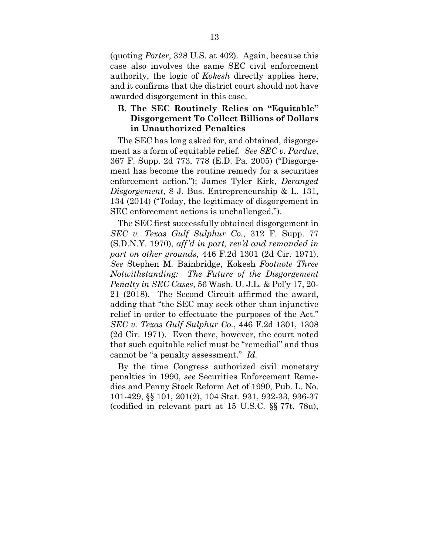(quoting *Porter*, 328 U.S. at 402). Again, because this case also involves the same SEC civil enforcement authority, the logic of *Kokesh* directly applies here, and it confirms that the district court should not have awarded disgorgement in this case.

# **B. The SEC Routinely Relies on "Equitable" Disgorgement To Collect Billions of Dollars in Unauthorized Penalties**

The SEC has long asked for, and obtained, disgorgement as a form of equitable relief. *See SEC v. Pardue*, 367 F. Supp. 2d 773, 778 (E.D. Pa. 2005) ("Disgorgement has become the routine remedy for a securities enforcement action."); James Tyler Kirk, *Deranged Disgorgement*, 8 J. Bus. Entrepreneurship & L. 131, 134 (2014) ("Today, the legitimacy of disgorgement in SEC enforcement actions is unchallenged.").

The SEC first successfully obtained disgorgement in *SEC v. Texas Gulf Sulphur Co.*, 312 F. Supp. 77 (S.D.N.Y. 1970), *aff'd in part, rev'd and remanded in part on other grounds*, 446 F.2d 1301 (2d Cir. 1971). *See* Stephen M. Bainbridge, Kokesh *Footnote Three Notwithstanding: The Future of the Disgorgement Penalty in SEC Cases*, 56 Wash. U. J.L. & Pol'y 17, 20- 21 (2018). The Second Circuit affirmed the award, adding that "the SEC may seek other than injunctive relief in order to effectuate the purposes of the Act." *SEC v. Texas Gulf Sulphur Co.*, 446 F.2d 1301, 1308 (2d Cir. 1971). Even there, however, the court noted that such equitable relief must be "remedial" and thus cannot be "a penalty assessment." *Id.*

By the time Congress authorized civil monetary penalties in 1990, *see* Securities Enforcement Remedies and Penny Stock Reform Act of 1990, Pub. L. No. 101-429, §§ 101, 201(2), 104 Stat. 931, 932-33, 936-37 (codified in relevant part at 15 U.S.C. §§ 77t, 78u),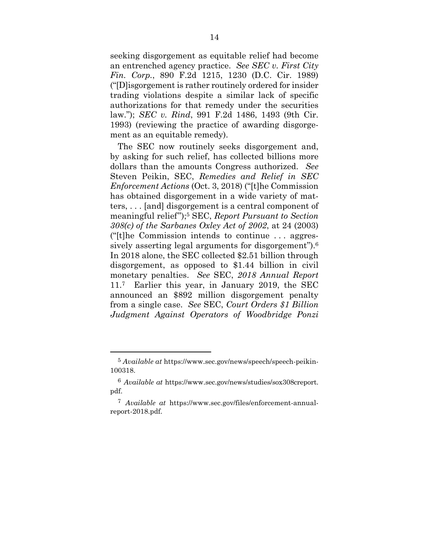seeking disgorgement as equitable relief had become an entrenched agency practice. *See SEC v. First City Fin. Corp.*, 890 F.2d 1215, 1230 (D.C. Cir. 1989) ("[D]isgorgement is rather routinely ordered for insider trading violations despite a similar lack of specific authorizations for that remedy under the securities law."); *SEC v. Rind*, 991 F.2d 1486, 1493 (9th Cir. 1993) (reviewing the practice of awarding disgorgement as an equitable remedy).

The SEC now routinely seeks disgorgement and, by asking for such relief, has collected billions more dollars than the amounts Congress authorized. *See*  Steven Peikin, SEC, *Remedies and Relief in SEC Enforcement Actions* (Oct. 3, 2018) ("[t]he Commission has obtained disgorgement in a wide variety of matters, . . . [and] disgorgement is a central component of meaningful relief");5 SEC, *Report Pursuant to Section 308(c) of the Sarbanes Oxley Act of 2002*, at 24 (2003) ("[t]he Commission intends to continue . . . aggressively asserting legal arguments for disgorgement").<sup>6</sup> In 2018 alone, the SEC collected \$2.51 billion through disgorgement, as opposed to \$1.44 billion in civil monetary penalties. *See* SEC, *2018 Annual Report* 11.7 Earlier this year, in January 2019, the SEC announced an \$892 million disgorgement penalty from a single case. *See* SEC, *Court Orders \$1 Billion Judgment Against Operators of Woodbridge Ponzi* 

<sup>5</sup> *Available at* https://www.sec.gov/news/speech/speech-peikin-100318.

<sup>6</sup> *Available at* https://www.sec.gov/news/studies/sox308creport. pdf.

<sup>7</sup> *Available at* https://www.sec.gov/files/enforcement-annualreport-2018.pdf.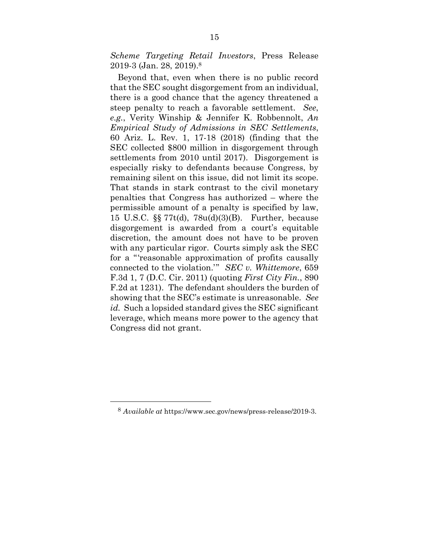*Scheme Targeting Retail Investors*, Press Release 2019-3 (Jan. 28, 2019).8

Beyond that, even when there is no public record that the SEC sought disgorgement from an individual, there is a good chance that the agency threatened a steep penalty to reach a favorable settlement. *See*, *e.g.*, Verity Winship & Jennifer K. Robbennolt, *An Empirical Study of Admissions in SEC Settlements*, 60 Ariz. L. Rev. 1, 17-18 (2018) (finding that the SEC collected \$800 million in disgorgement through settlements from 2010 until 2017). Disgorgement is especially risky to defendants because Congress, by remaining silent on this issue, did not limit its scope. That stands in stark contrast to the civil monetary penalties that Congress has authorized – where the permissible amount of a penalty is specified by law, 15 U.S.C. §§ 77t(d), 78u(d)(3)(B). Further, because disgorgement is awarded from a court's equitable discretion, the amount does not have to be proven with any particular rigor. Courts simply ask the SEC for a "'reasonable approximation of profits causally connected to the violation.'" *SEC v. Whittemore*, 659 F.3d 1, 7 (D.C. Cir. 2011) (quoting *First City Fin.*, 890 F.2d at 1231). The defendant shoulders the burden of showing that the SEC's estimate is unreasonable. *See id.* Such a lopsided standard gives the SEC significant leverage, which means more power to the agency that Congress did not grant.

<sup>8</sup> *Available at* https://www.sec.gov/news/press-release/2019-3.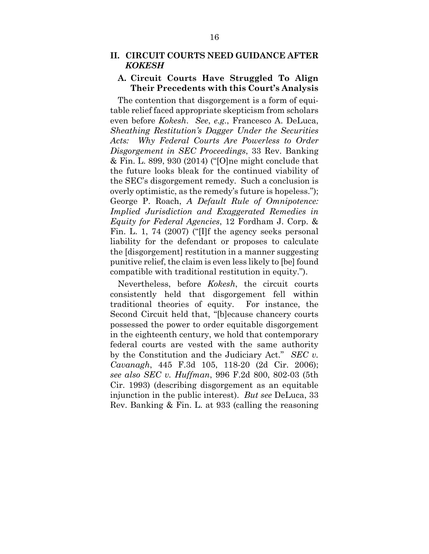## **A. Circuit Courts Have Struggled To Align Their Precedents with this Court's Analysis**

The contention that disgorgement is a form of equitable relief faced appropriate skepticism from scholars even before *Kokesh*. *See*, *e.g.*, Francesco A. DeLuca, *Sheathing Restitution's Dagger Under the Securities Acts: Why Federal Courts Are Powerless to Order Disgorgement in SEC Proceedings*, 33 Rev. Banking & Fin. L. 899, 930 (2014) ("[O]ne might conclude that the future looks bleak for the continued viability of the SEC's disgorgement remedy. Such a conclusion is overly optimistic, as the remedy's future is hopeless."); George P. Roach, *A Default Rule of Omnipotence: Implied Jurisdiction and Exaggerated Remedies in Equity for Federal Agencies*, 12 Fordham J. Corp. & Fin. L. 1, 74 (2007) ("[I]f the agency seeks personal liability for the defendant or proposes to calculate the [disgorgement] restitution in a manner suggesting punitive relief, the claim is even less likely to [be] found compatible with traditional restitution in equity.").

Nevertheless, before *Kokesh*, the circuit courts consistently held that disgorgement fell within traditional theories of equity. For instance, the Second Circuit held that, "[b]ecause chancery courts possessed the power to order equitable disgorgement in the eighteenth century, we hold that contemporary federal courts are vested with the same authority by the Constitution and the Judiciary Act." *SEC v. Cavanagh*, 445 F.3d 105, 118-20 (2d Cir. 2006); *see also SEC v. Huffman*, 996 F.2d 800, 802-03 (5th Cir. 1993) (describing disgorgement as an equitable injunction in the public interest). *But see* DeLuca, 33 Rev. Banking & Fin. L. at 933 (calling the reasoning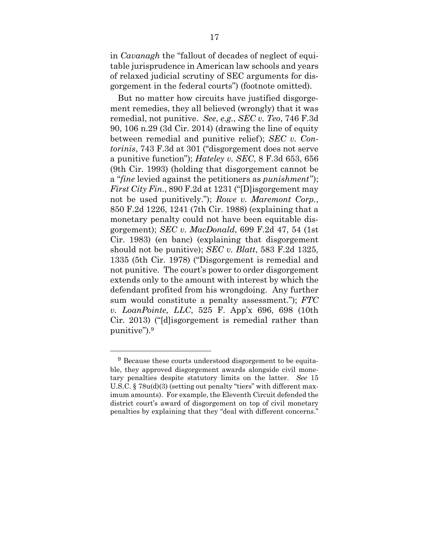in *Cavanagh* the "fallout of decades of neglect of equitable jurisprudence in American law schools and years of relaxed judicial scrutiny of SEC arguments for disgorgement in the federal courts") (footnote omitted).

But no matter how circuits have justified disgorgement remedies, they all believed (wrongly) that it was remedial, not punitive. *See*, *e.g.*, *SEC v. Teo*, 746 F.3d 90, 106 n.29 (3d Cir. 2014) (drawing the line of equity between remedial and punitive relief); *SEC v. Contorinis*, 743 F.3d at 301 ("disgorgement does not serve a punitive function"); *Hateley v. SEC*, 8 F.3d 653, 656 (9th Cir. 1993) (holding that disgorgement cannot be a "*fine* levied against the petitioners as *punishment*"); *First City Fin.*, 890 F.2d at 1231 ("[D]isgorgement may not be used punitively."); *Rowe v. Maremont Corp.*, 850 F.2d 1226, 1241 (7th Cir. 1988) (explaining that a monetary penalty could not have been equitable disgorgement); *SEC v. MacDonald*, 699 F.2d 47, 54 (1st Cir. 1983) (en banc) (explaining that disgorgement should not be punitive); *SEC v. Blatt*, 583 F.2d 1325, 1335 (5th Cir. 1978) ("Disgorgement is remedial and not punitive. The court's power to order disgorgement extends only to the amount with interest by which the defendant profited from his wrongdoing. Any further sum would constitute a penalty assessment."); *FTC v. LoanPointe, LLC*, 525 F. App'x 696, 698 (10th Cir. 2013) ("[d]isgorgement is remedial rather than punitive").9

<u>.</u>

<sup>&</sup>lt;sup>9</sup> Because these courts understood disgorgement to be equitable, they approved disgorgement awards alongside civil monetary penalties despite statutory limits on the latter. *See* 15 U.S.C. § 78u(d)(3) (setting out penalty "tiers" with different maximum amounts). For example, the Eleventh Circuit defended the district court's award of disgorgement on top of civil monetary penalties by explaining that they "deal with different concerns."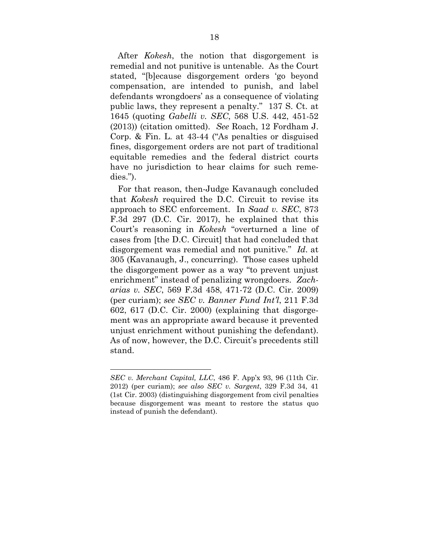After *Kokesh*, the notion that disgorgement is remedial and not punitive is untenable. As the Court stated, "[b]ecause disgorgement orders 'go beyond compensation, are intended to punish, and label defendants wrongdoers' as a consequence of violating public laws, they represent a penalty." 137 S. Ct. at 1645 (quoting *Gabelli v. SEC*, 568 U.S. 442, 451-52 (2013)) (citation omitted). *See* Roach, 12 Fordham J. Corp. & Fin. L. at 43-44 ("As penalties or disguised fines, disgorgement orders are not part of traditional equitable remedies and the federal district courts have no jurisdiction to hear claims for such remedies.").

For that reason, then-Judge Kavanaugh concluded that *Kokesh* required the D.C. Circuit to revise its approach to SEC enforcement. In *Saad v. SEC*, 873 F.3d 297 (D.C. Cir. 2017), he explained that this Court's reasoning in *Kokesh* "overturned a line of cases from [the D.C. Circuit] that had concluded that disgorgement was remedial and not punitive." *Id*. at 305 (Kavanaugh, J., concurring). Those cases upheld the disgorgement power as a way "to prevent unjust enrichment" instead of penalizing wrongdoers. *Zacharias v. SEC*, 569 F.3d 458, 471-72 (D.C. Cir. 2009) (per curiam); *see SEC v. Banner Fund Int'l*, 211 F.3d 602, 617 (D.C. Cir. 2000) (explaining that disgorgement was an appropriate award because it prevented unjust enrichment without punishing the defendant). As of now, however, the D.C. Circuit's precedents still stand.

*SEC v. Merchant Capital, LLC*, 486 F. App'x 93, 96 (11th Cir. 2012) (per curiam); *see also SEC v. Sargent*, 329 F.3d 34, 41 (1st Cir. 2003) (distinguishing disgorgement from civil penalties because disgorgement was meant to restore the status quo instead of punish the defendant).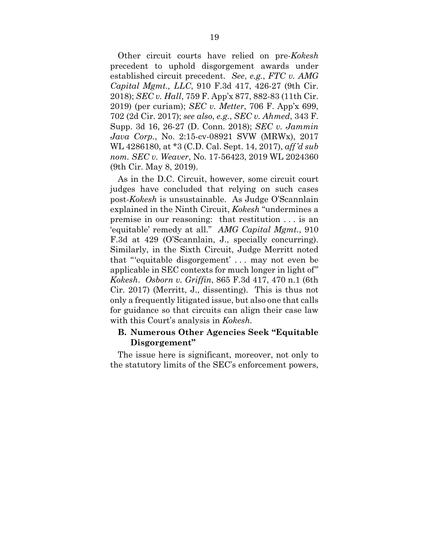Other circuit courts have relied on pre-*Kokesh*  precedent to uphold disgorgement awards under established circuit precedent. *See*, *e.g.*, *FTC v. AMG Capital Mgmt., LLC*, 910 F.3d 417, 426-27 (9th Cir. 2018); *SEC v. Hall*, 759 F. App'x 877, 882-83 (11th Cir. 2019) (per curiam); *SEC v. Metter*, 706 F. App'x 699, 702 (2d Cir. 2017); *see also*, *e.g.*, *SEC v. Ahmed*, 343 F. Supp. 3d 16, 26-27 (D. Conn. 2018); *SEC v. Jammin Java Corp.*, No. 2:15-cv-08921 SVW (MRWx), 2017 WL 4286180, at \*3 (C.D. Cal. Sept. 14, 2017), *aff'd sub nom. SEC v. Weaver*, No. 17-56423, 2019 WL 2024360 (9th Cir. May 8, 2019).

As in the D.C. Circuit, however, some circuit court judges have concluded that relying on such cases post-*Kokesh* is unsustainable. As Judge O'Scannlain explained in the Ninth Circuit, *Kokesh* "undermines a premise in our reasoning: that restitution . . . is an 'equitable' remedy at all." *AMG Capital Mgmt.*, 910 F.3d at 429 (O'Scannlain, J., specially concurring). Similarly, in the Sixth Circuit, Judge Merritt noted that "'equitable disgorgement' . . . may not even be applicable in SEC contexts for much longer in light of" *Kokesh*. *Osborn v. Griffin*, 865 F.3d 417, 470 n.1 (6th Cir. 2017) (Merritt, J., dissenting). This is thus not only a frequently litigated issue, but also one that calls for guidance so that circuits can align their case law with this Court's analysis in *Kokesh.*

## **B. Numerous Other Agencies Seek "Equitable Disgorgement"**

The issue here is significant, moreover, not only to the statutory limits of the SEC's enforcement powers,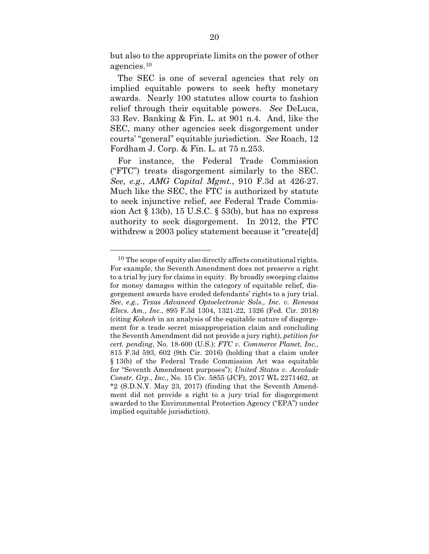but also to the appropriate limits on the power of other agencies.10

The SEC is one of several agencies that rely on implied equitable powers to seek hefty monetary awards. Nearly 100 statutes allow courts to fashion relief through their equitable powers. *See* DeLuca, 33 Rev. Banking & Fin. L. at 901 n.4. And, like the SEC, many other agencies seek disgorgement under courts' "general" equitable jurisdiction. *See* Roach, 12 Fordham J. Corp. & Fin. L. at 75 n.253.

For instance, the Federal Trade Commission ("FTC") treats disgorgement similarly to the SEC. *See*, *e.g.*, *AMG Capital Mgmt.*, 910 F.3d at 426-27. Much like the SEC, the FTC is authorized by statute to seek injunctive relief, *see* Federal Trade Commission Act  $\S 13(b)$ , 15 U.S.C.  $\S 53(b)$ , but has no express authority to seek disgorgement. In 2012, the FTC withdrew a 2003 policy statement because it "create[d]

<sup>10</sup> The scope of equity also directly affects constitutional rights. For example, the Seventh Amendment does not preserve a right to a trial by jury for claims in equity. By broadly sweeping claims for money damages within the category of equitable relief, disgorgement awards have eroded defendants' rights to a jury trial. *See*, *e.g.*, *Texas Advanced Optoelectronic Sols., Inc. v. Renesas Elecs. Am., Inc.*, 895 F.3d 1304, 1321-22, 1326 (Fed. Cir. 2018) (citing *Kokesh* in an analysis of the equitable nature of disgorgement for a trade secret misappropriation claim and concluding the Seventh Amendment did not provide a jury right), *petition for cert. pending*, No. 18-600 (U.S.); *FTC v. Commerce Planet, Inc.*, 815 F.3d 593, 602 (9th Cir. 2016) (holding that a claim under § 13(b) of the Federal Trade Commission Act was equitable for "Seventh Amendment purposes"); *United States v. Accolade Constr. Grp.*, *Inc.*, No. 15 Civ. 5855 (JCF), 2017 WL 2271462, at \*2 (S.D.N.Y. May 23, 2017) (finding that the Seventh Amendment did not provide a right to a jury trial for disgorgement awarded to the Environmental Protection Agency ("EPA") under implied equitable jurisdiction).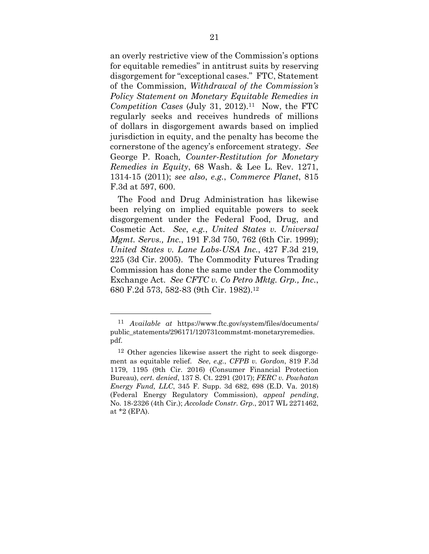an overly restrictive view of the Commission's options for equitable remedies" in antitrust suits by reserving disgorgement for "exceptional cases." FTC, Statement of the Commission, *Withdrawal of the Commission's Policy Statement on Monetary Equitable Remedies in Competition Cases* (July 31, 2012).11 Now, the FTC regularly seeks and receives hundreds of millions of dollars in disgorgement awards based on implied jurisdiction in equity, and the penalty has become the cornerstone of the agency's enforcement strategy. *See*  George P. Roach*, Counter-Restitution for Monetary Remedies in Equity*, 68 Wash. & Lee L. Rev. 1271, 1314-15 (2011); *see also*, *e.g.*, *Commerce Planet*, 815 F.3d at 597, 600.

The Food and Drug Administration has likewise been relying on implied equitable powers to seek disgorgement under the Federal Food, Drug, and Cosmetic Act. *See*, *e.g.*, *United States v. Universal Mgmt. Servs., Inc.*, 191 F.3d 750, 762 (6th Cir. 1999); *United States v. Lane Labs-USA Inc.*, 427 F.3d 219, 225 (3d Cir. 2005). The Commodity Futures Trading Commission has done the same under the Commodity Exchange Act. *See CFTC v. Co Petro Mktg. Grp., Inc.*, 680 F.2d 573, 582-83 (9th Cir. 1982).12

<sup>11</sup> *Available at* https://www.ftc.gov/system/files/documents/ public\_statements/296171/120731commstmt-monetaryremedies. pdf.

<sup>12</sup> Other agencies likewise assert the right to seek disgorgement as equitable relief. *See*, *e.g.*, *CFPB v. Gordon*, 819 F.3d 1179, 1195 (9th Cir. 2016) (Consumer Financial Protection Bureau), *cert. denied*, 137 S. Ct. 2291 (2017); *FERC v. Powhatan Energy Fund, LLC*, 345 F. Supp. 3d 682, 698 (E.D. Va. 2018) (Federal Energy Regulatory Commission), *appeal pending*, No. 18-2326 (4th Cir.); *Accolade Constr. Grp.*, 2017 WL 2271462, at \*2 (EPA).